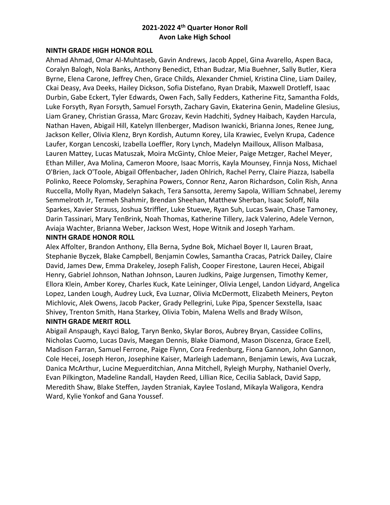#### **NINTH GRADE HIGH HONOR ROLL**

Ahmad Ahmad, Omar Al-Muhtaseb, Gavin Andrews, Jacob Appel, Gina Avarello, Aspen Baca, Coralyn Balogh, Nola Banks, Anthony Benedict, Ethan Budzar, Mia Buehner, Sally Butler, Kiera Byrne, Elena Carone, Jeffrey Chen, Grace Childs, Alexander Chmiel, Kristina Cline, Liam Dailey, Ckai Deasy, Ava Deeks, Hailey Dickson, Sofia Distefano, Ryan Drabik, Maxwell Drotleff, Isaac Durbin, Gabe Eckert, Tyler Edwards, Owen Fach, Sally Fedders, Katherine Fitz, Samantha Folds, Luke Forsyth, Ryan Forsyth, Samuel Forsyth, Zachary Gavin, Ekaterina Genin, Madeline Glesius, Liam Graney, Christian Grassa, Marc Grozav, Kevin Hadchiti, Sydney Haibach, Kayden Harcula, Nathan Haven, Abigail Hill, Katelyn Illenberger, Madison Iwanicki, Brianna Jones, Renee Jung, Jackson Keller, Olivia Klenz, Bryn Kordish, Autumn Korey, Lila Krawiec, Evelyn Krupa, Cadence Laufer, Korgan Lencoski, Izabella Loeffler, Rory Lynch, Madelyn Mailloux, Allison Malbasa, Lauren Mattey, Lucas Matuszak, Moira McGinty, Chloe Meier, Paige Metzger, Rachel Meyer, Ethan Miller, Ava Molina, Cameron Moore, Isaac Morris, Kayla Mounsey, Finnja Noss, Michael O'Brien, Jack O'Toole, Abigail Offenbacher, Jaden Ohlrich, Rachel Perry, Claire Piazza, Isabella Polinko, Reece Polomsky, Seraphina Powers, Connor Renz, Aaron Richardson, Colin Rish, Anna Ruccella, Molly Ryan, Madelyn Sakach, Tera Sansotta, Jeremy Sapola, William Schnabel, Jeremy Semmelroth Jr, Termeh Shahmir, Brendan Sheehan, Matthew Sherban, Isaac Soloff, Nila Sparkes, Xavier Strauss, Joshua Striffler, Luke Stuewe, Ryan Suh, Lucas Swain, Chase Tamoney, Darin Tassinari, Mary TenBrink, Noah Thomas, Katherine Tillery, Jack Valerino, Adele Vernon, Aviaja Wachter, Brianna Weber, Jackson West, Hope Witnik and Joseph Yarham.

### **NINTH GRADE HONOR ROLL**

Alex Affolter, Brandon Anthony, Ella Berna, Sydne Bok, Michael Boyer II, Lauren Braat, Stephanie Byczek, Blake Campbell, Benjamin Cowles, Samantha Cracas, Patrick Dailey, Claire David, James Dew, Emma Drakeley, Joseph Falish, Cooper Firestone, Lauren Hecei, Abigail Henry, Gabriel Johnson, Nathan Johnson, Lauren Judkins, Paige Jurgensen, Timothy Kemer, Ellora Klein, Amber Korey, Charles Kuck, Kate Leininger, Olivia Lengel, Landon Lidyard, Angelica Lopez, Landen Lough, Audrey Luck, Eva Luznar, Olivia McDermott, Elizabeth Meiners, Peyton Michlovic, Alek Owens, Jacob Packer, Grady Pellegrini, Luke Pipa, Spencer Sexstella, Isaac Shivey, Trenton Smith, Hana Starkey, Olivia Tobin, Malena Wells and Brady Wilson,

### **NINTH GRADE MERIT ROLL**

Abigail Anspaugh, Kayci Balog, Taryn Benko, Skylar Boros, Aubrey Bryan, Cassidee Collins, Nicholas Cuomo, Lucas Davis, Maegan Dennis, Blake Diamond, Mason Discenza, Grace Ezell, Madison Farran, Samuel Ferrone, Paige Flynn, Cora Fredenburg, Fiona Gannon, John Gannon, Cole Hecei, Joseph Heron, Josephine Kaiser, Marleigh Lademann, Benjamin Lewis, Ava Luczak, Danica McArthur, Lucine Meguerditchian, Anna Mitchell, Ryleigh Murphy, Nathaniel Overly, Evan Pilkington, Madeline Randall, Hayden Reed, Lillian Rice, Cecilia Sablack, David Sapp, Meredith Shaw, Blake Steffen, Jayden Straniak, Kaylee Tosland, Mikayla Waligora, Kendra Ward, Kylie Yonkof and Gana Youssef.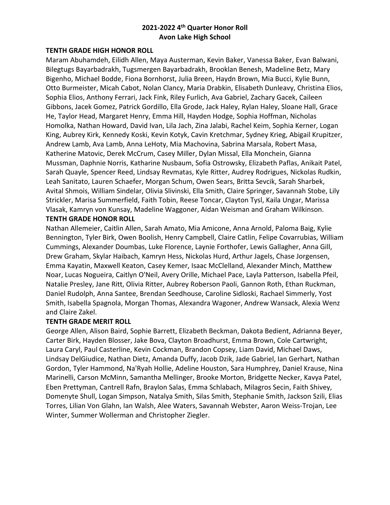### **TENTH GRADE HIGH HONOR ROLL**

Maram Abuhamdeh, Eilidh Allen, Maya Austerman, Kevin Baker, Vanessa Baker, Evan Balwani, Bilegtugs Bayarbadrakh, Tugsmergen Bayarbadrakh, Brooklan Benesh, Madeline Betz, Mary Bigenho, Michael Bodde, Fiona Bornhorst, Julia Breen, Haydn Brown, Mia Bucci, Kylie Bunn, Otto Burmeister, Micah Cabot, Nolan Clancy, Maria Drabkin, Elisabeth Dunleavy, Christina Elios, Sophia Elios, Anthony Ferrari, Jack Fink, Riley Furlich, Ava Gabriel, Zachary Gacek, Caileen Gibbons, Jacek Gomez, Patrick Gordillo, Ella Grode, Jack Haley, Rylan Haley, Sloane Hall, Grace He, Taylor Head, Margaret Henry, Emma Hill, Hayden Hodge, Sophia Hoffman, Nicholas Homolka, Nathan Howard, David Ivan, Lila Jach, Zina Jalabi, Rachel Keim, Sophia Kerner, Logan King, Aubrey Kirk, Kennedy Koski, Kevin Kotyk, Cavin Kretchmar, Sydney Krieg, Abigail Krupitzer, Andrew Lamb, Ava Lamb, Anna LeHoty, Mia Machovina, Sabrina Marsala, Robert Masa, Katherine Matovic, Derek McCrum, Casey Miller, Dylan Missal, Ella Monchein, Gianna Mussman, Daphnie Norris, Katharine Nusbaum, Sofia Ostrowsky, Elizabeth Paflas, Anikait Patel, Sarah Quayle, Spencer Reed, Lindsay Revmatas, Kyle Ritter, Audrey Rodrigues, Nickolas Rudkin, Leah Sanitato, Lauren Schaefer, Morgan Schum, Owen Sears, Britta Sevcik, Sarah Sharbek, Avital Shmois, William Sindelar, Olivia Slivinski, Ella Smith, Claire Springer, Savannah Stobe, Lily Strickler, Marisa Summerfield, Faith Tobin, Reese Toncar, Clayton Tysl, Kaila Ungar, Marissa Vlasak, Kamryn von Kunsay, Madeline Waggoner, Aidan Weisman and Graham Wilkinson. **TENTH GRADE HONOR ROLL**

Nathan Allemeier, Caitlin Allen, Sarah Amato, Mia Amicone, Anna Arnold, Paloma Baig, Kylie Bennington, Tyler Birk, Owen Boolish, Henry Campbell, Claire Catlin, Felipe Covarrubias, William Cummings, Alexander Doumbas, Luke Florence, Laynie Forthofer, Lewis Gallagher, Anna Gill, Drew Graham, Skylar Haibach, Kamryn Hess, Nickolas Hurd, Arthur Jagels, Chase Jorgensen, Emma Kayatin, Maxwell Keaton, Casey Kemer, Isaac McClelland, Alexander Minch, Matthew Noar, Lucas Nogueira, Caitlyn O'Neil, Avery Orille, Michael Pace, Layla Patterson, Isabella Pfeil, Natalie Presley, Jane Ritt, Olivia Ritter, Aubrey Roberson Paoli, Gannon Roth, Ethan Ruckman, Daniel Rudolph, Anna Santee, Brendan Seedhouse, Caroline Sidloski, Rachael Simmerly, Yost Smith, Isabella Spagnola, Morgan Thomas, Alexandra Wagoner, Andrew Wansack, Alexia Wenz and Claire Zakel.

#### **TENTH GRADE MERIT ROLL**

George Allen, Alison Baird, Sophie Barrett, Elizabeth Beckman, Dakota Bedient, Adrianna Beyer, Carter Birk, Hayden Blosser, Jake Bova, Clayton Broadhurst, Emma Brown, Cole Cartwright, Laura Caryl, Paul Casterline, Kevin Cockman, Brandon Copsey, Liam David, Michael Daws, Lindsay DelGiudice, Nathan Dietz, Amanda Duffy, Jacob Dzik, Jade Gabriel, Ian Gerhart, Nathan Gordon, Tyler Hammond, Na'Ryah Hollie, Adeline Houston, Sara Humphrey, Daniel Krause, Nina Marinelli, Carson McMinn, Samantha Mellinger, Brooke Morton, Bridgette Necker, Kavya Patel, Eben Prettyman, Cantrell Rafn, Braylon Salas, Emma Schlabach, Milagros Secin, Faith Shivey, Domenyte Shull, Logan Simpson, Natalya Smith, Silas Smith, Stephanie Smith, Jackson Szili, Elias Torres, Lilian Von Glahn, Ian Walsh, Alee Waters, Savannah Webster, Aaron Weiss-Trojan, Lee Winter, Summer Wollerman and Christopher Ziegler.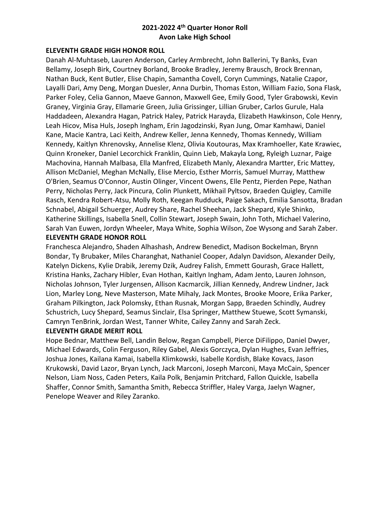### **ELEVENTH GRADE HIGH HONOR ROLL**

Danah Al-Muhtaseb, Lauren Anderson, Carley Armbrecht, John Ballerini, Ty Banks, Evan Bellamy, Joseph Birk, Courtney Borland, Brooke Bradley, Jeremy Brausch, Brock Brennan, Nathan Buck, Kent Butler, Elise Chapin, Samantha Covell, Coryn Cummings, Natalie Czapor, Layalli Dari, Amy Deng, Morgan Duesler, Anna Durbin, Thomas Eston, William Fazio, Sona Flask, Parker Foley, Celia Gannon, Maeve Gannon, Maxwell Gee, Emily Good, Tyler Grabowski, Kevin Graney, Virginia Gray, Ellamarie Green, Julia Grissinger, Lillian Gruber, Carlos Gurule, Hala Haddadeen, Alexandra Hagan, Patrick Haley, Patrick Harayda, Elizabeth Hawkinson, Cole Henry, Leah Hicov, Misa Huls, Joseph Ingham, Erin Jagodzinski, Ryan Jung, Omar Kamhawi, Daniel Kane, Macie Kantra, Laci Keith, Andrew Keller, Jenna Kennedy, Thomas Kennedy, William Kennedy, Kaitlyn Khrenovsky, Annelise Klenz, Olivia Koutouras, Max Kramhoeller, Kate Krawiec, Quinn Kroneker, Daniel Lecorchick Franklin, Quinn Lieb, Makayla Long, Ryleigh Luznar, Paige Machovina, Hannah Malbasa, Ella Manfred, Elizabeth Manly, Alexandra Martter, Eric Mattey, Allison McDaniel, Meghan McNally, Elise Mercio, Esther Morris, Samuel Murray, Matthew O'Brien, Seamus O'Connor, Austin Olinger, Vincent Owens, Elle Pentz, Pierden Pepe, Nathan Perry, Nicholas Perry, Jack Pincura, Colin Plunkett, Mikhail Pyltsov, Braeden Quigley, Camille Rasch, Kendra Robert-Atsu, Molly Roth, Keegan Rudduck, Paige Sakach, Emilia Sansotta, Bradan Schnabel, Abigail Schuerger, Audrey Share, Rachel Sheehan, Jack Shepard, Kyle Shinko, Katherine Skillings, Isabella Snell, Collin Stewart, Joseph Swain, John Toth, Michael Valerino, Sarah Van Euwen, Jordyn Wheeler, Maya White, Sophia Wilson, Zoe Wysong and Sarah Zaber.

### **ELEVENTH GRADE HONOR ROLL**

Franchesca Alejandro, Shaden Alhashash, Andrew Benedict, Madison Bockelman, Brynn Bondar, Ty Brubaker, Miles Charanghat, Nathaniel Cooper, Adalyn Davidson, Alexander Deily, Katelyn Dickens, Kylie Drabik, Jeremy Dzik, Audrey Falish, Emmett Gourash, Grace Hallett, Kristina Hanks, Zachary Hibler, Evan Hothan, Kaitlyn Ingham, Adam Jento, Lauren Johnson, Nicholas Johnson, Tyler Jurgensen, Allison Kacmarcik, Jillian Kennedy, Andrew Lindner, Jack Lion, Marley Long, Neve Masterson, Mate Mihaly, Jack Montes, Brooke Moore, Erika Parker, Graham Pilkington, Jack Polomsky, Ethan Rusnak, Morgan Sapp, Braeden Schindly, Audrey Schustrich, Lucy Shepard, Seamus Sinclair, Elsa Springer, Matthew Stuewe, Scott Symanski, Camryn TenBrink, Jordan West, Tanner White, Cailey Zanny and Sarah Zeck.

### **ELEVENTH GRADE MERIT ROLL**

Hope Bednar, Matthew Bell, Landin Below, Regan Campbell, Pierce DiFilippo, Daniel Dwyer, Michael Edwards, Colin Ferguson, Riley Gabel, Alexis Gorczyca, Dylan Hughes, Evan Jeffries, Joshua Jones, Kailana Kamai, Isabella Klimkowski, Isabelle Kordish, Blake Kovacs, Jason Krukowski, David Lazor, Bryan Lynch, Jack Marconi, Joseph Marconi, Maya McCain, Spencer Nelson, Liam Noss, Caden Peters, Kaila Polk, Benjamin Pritchard, Fallon Quickle, Isabella Shaffer, Connor Smith, Samantha Smith, Rebecca Striffler, Haley Varga, Jaelyn Wagner, Penelope Weaver and Riley Zaranko.